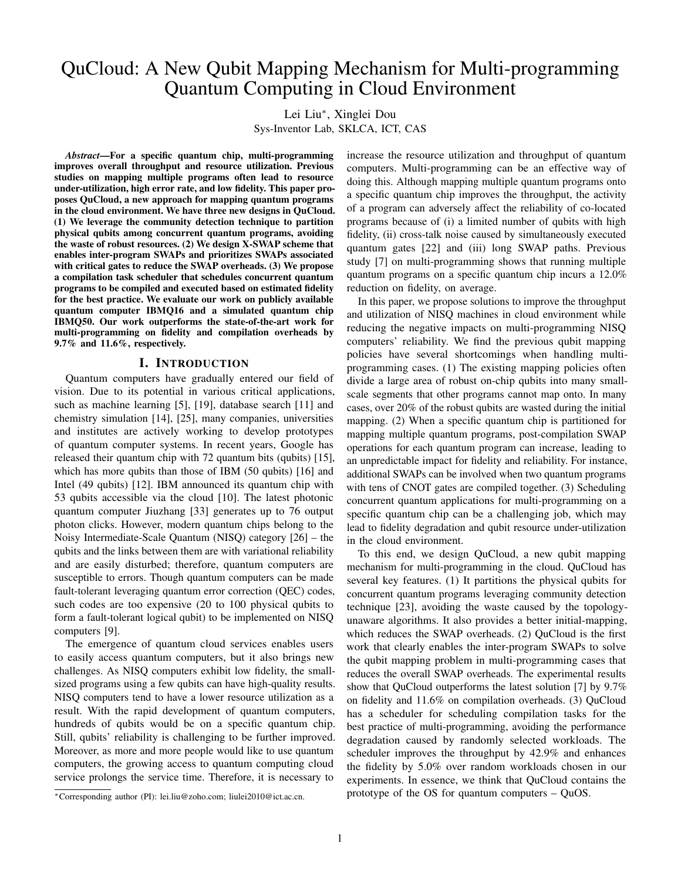# QuCloud: A New Qubit Mapping Mechanism for Multi-programming Quantum Computing in Cloud Environment

Lei Liu<sup>∗</sup> , Xinglei Dou

Sys-Inventor Lab, SKLCA, ICT, CAS

*Abstract*—For a specific quantum chip, multi-programming improves overall throughput and resource utilization. Previous studies on mapping multiple programs often lead to resource under-utilization, high error rate, and low fidelity. This paper proposes QuCloud, a new approach for mapping quantum programs in the cloud environment. We have three new designs in QuCloud. (1) We leverage the community detection technique to partition physical qubits among concurrent quantum programs, avoiding the waste of robust resources. (2) We design X-SWAP scheme that enables inter-program SWAPs and prioritizes SWAPs associated with critical gates to reduce the SWAP overheads. (3) We propose a compilation task scheduler that schedules concurrent quantum programs to be compiled and executed based on estimated fidelity for the best practice. We evaluate our work on publicly available quantum computer IBMQ16 and a simulated quantum chip IBMQ50. Our work outperforms the state-of-the-art work for multi-programming on fidelity and compilation overheads by 9.7% and 11.6%, respectively.

## I. INTRODUCTION

Quantum computers have gradually entered our field of vision. Due to its potential in various critical applications, such as machine learning [\[5\]](#page-11-0), [\[19\]](#page-11-1), database search [\[11\]](#page-11-2) and chemistry simulation [\[14\]](#page-11-3), [\[25\]](#page-11-4), many companies, universities and institutes are actively working to develop prototypes of quantum computer systems. In recent years, Google has released their quantum chip with 72 quantum bits (qubits) [\[15\]](#page-11-5), which has more qubits than those of IBM (50 qubits) [\[16\]](#page-11-6) and Intel (49 qubits) [\[12\]](#page-11-7). IBM announced its quantum chip with 53 qubits accessible via the cloud [\[10\]](#page-11-8). The latest photonic quantum computer Jiuzhang [33] generates up to 76 output photon clicks. However, modern quantum chips belong to the Noisy Intermediate-Scale Quantum (NISQ) category [\[26\]](#page-11-9) – the qubits and the links between them are with variational reliability and are easily disturbed; therefore, quantum computers are susceptible to errors. Though quantum computers can be made fault-tolerant leveraging quantum error correction (QEC) codes, such codes are too expensive (20 to 100 physical qubits to form a fault-tolerant logical qubit) to be implemented on NISQ computers [\[9\]](#page-11-10).

The emergence of quantum cloud services enables users to easily access quantum computers, but it also brings new challenges. As NISQ computers exhibit low fidelity, the smallsized programs using a few qubits can have high-quality results. NISQ computers tend to have a lower resource utilization as a result. With the rapid development of quantum computers, hundreds of qubits would be on a specific quantum chip. Still, qubits' reliability is challenging to be further improved. Moreover, as more and more people would like to use quantum computers, the growing access to quantum computing cloud service prolongs the service time. Therefore, it is necessary to

<sup>∗</sup>Corresponding author (PI): lei.liu@zoho.com; liulei2010@ict.ac.cn.

increase the resource utilization and throughput of quantum computers. Multi-programming can be an effective way of doing this. Although mapping multiple quantum programs onto a specific quantum chip improves the throughput, the activity of a program can adversely affect the reliability of co-located programs because of (i) a limited number of qubits with high fidelity, (ii) cross-talk noise caused by simultaneously executed quantum gates [\[22\]](#page-11-11) and (iii) long SWAP paths. Previous study [\[7\]](#page-11-12) on multi-programming shows that running multiple quantum programs on a specific quantum chip incurs a 12.0% reduction on fidelity, on average.

In this paper, we propose solutions to improve the throughput and utilization of NISQ machines in cloud environment while reducing the negative impacts on multi-programming NISQ computers' reliability. We find the previous qubit mapping policies have several shortcomings when handling multiprogramming cases. (1) The existing mapping policies often divide a large area of robust on-chip qubits into many smallscale segments that other programs cannot map onto. In many cases, over 20% of the robust qubits are wasted during the initial mapping. (2) When a specific quantum chip is partitioned for mapping multiple quantum programs, post-compilation SWAP operations for each quantum program can increase, leading to an unpredictable impact for fidelity and reliability. For instance, additional SWAPs can be involved when two quantum programs with tens of CNOT gates are compiled together. (3) Scheduling concurrent quantum applications for multi-programming on a specific quantum chip can be a challenging job, which may lead to fidelity degradation and qubit resource under-utilization in the cloud environment.

To this end, we design QuCloud, a new qubit mapping mechanism for multi-programming in the cloud. QuCloud has several key features. (1) It partitions the physical qubits for concurrent quantum programs leveraging community detection technique [\[23\]](#page-11-13), avoiding the waste caused by the topologyunaware algorithms. It also provides a better initial-mapping, which reduces the SWAP overheads. (2) QuCloud is the first work that clearly enables the inter-program SWAPs to solve the qubit mapping problem in multi-programming cases that reduces the overall SWAP overheads. The experimental results show that QuCloud outperforms the latest solution [\[7\]](#page-11-12) by 9.7% on fidelity and 11.6% on compilation overheads. (3) QuCloud has a scheduler for scheduling compilation tasks for the best practice of multi-programming, avoiding the performance degradation caused by randomly selected workloads. The scheduler improves the throughput by 42.9% and enhances the fidelity by 5.0% over random workloads chosen in our experiments. In essence, we think that QuCloud contains the prototype of the OS for quantum computers – QuOS.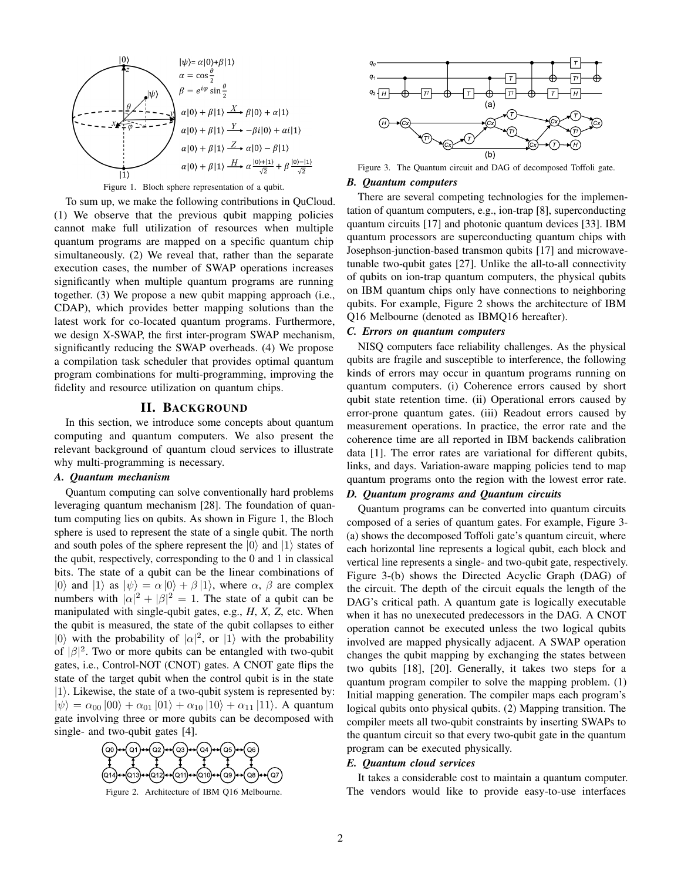

#### <span id="page-1-0"></span>Figure 1. Bloch sphere representation of a qubit.

To sum up, we make the following contributions in QuCloud. (1) We observe that the previous qubit mapping policies cannot make full utilization of resources when multiple quantum programs are mapped on a specific quantum chip simultaneously. (2) We reveal that, rather than the separate execution cases, the number of SWAP operations increases significantly when multiple quantum programs are running together. (3) We propose a new qubit mapping approach (i.e., CDAP), which provides better mapping solutions than the latest work for co-located quantum programs. Furthermore, we design X-SWAP, the first inter-program SWAP mechanism, significantly reducing the SWAP overheads. (4) We propose a compilation task scheduler that provides optimal quantum program combinations for multi-programming, improving the fidelity and resource utilization on quantum chips.

### II. BACKGROUND

In this section, we introduce some concepts about quantum computing and quantum computers. We also present the relevant background of quantum cloud services to illustrate why multi-programming is necessary.

## *A. Quantum mechanism*

Quantum computing can solve conventionally hard problems leveraging quantum mechanism [\[28\]](#page-11-14). The foundation of quantum computing lies on qubits. As shown in Figure [1,](#page-1-0) the Bloch sphere is used to represent the state of a single qubit. The north and south poles of the sphere represent the  $|0\rangle$  and  $|1\rangle$  states of the qubit, respectively, corresponding to the 0 and 1 in classical bits. The state of a qubit can be the linear combinations of |0) and  $|1\rangle$  as  $|\psi\rangle = \alpha |0\rangle + \beta |1\rangle$ , where  $\alpha$ ,  $\beta$  are complex numbers with  $|\alpha|^2 + |\beta|^2 = 1$ . The state of a qubit can be manipulated with single-qubit gates, e.g., *H*, *X*, *Z*, etc. When the qubit is measured, the state of the qubit collapses to either |0) with the probability of  $|\alpha|^2$ , or  $|1\rangle$  with the probability of  $|\beta|^2$ . Two or more qubits can be entangled with two-qubit gates, i.e., Control-NOT (CNOT) gates. A CNOT gate flips the state of the target qubit when the control qubit is in the state  $|1\rangle$ . Likewise, the state of a two-qubit system is represented by:  $|\psi\rangle = \alpha_{00} |00\rangle + \alpha_{01} |01\rangle + \alpha_{10} |10\rangle + \alpha_{11} |11\rangle$ . A quantum gate involving three or more qubits can be decomposed with single- and two-qubit gates [\[4\]](#page-11-15).



<span id="page-1-1"></span>Figure 2. Architecture of IBM Q16 Melbourne.



<span id="page-1-2"></span>Figure 3. The Quantum circuit and DAG of decomposed Toffoli gate.

## *B. Quantum computers*

There are several competing technologies for the implementation of quantum computers, e.g., ion-trap [\[8\]](#page-11-16), superconducting quantum circuits [\[17\]](#page-11-17) and photonic quantum devices [33]. IBM quantum processors are superconducting quantum chips with Josephson-junction-based transmon qubits [\[17\]](#page-11-17) and microwavetunable two-qubit gates [\[27\]](#page-11-18). Unlike the all-to-all connectivity of qubits on ion-trap quantum computers, the physical qubits on IBM quantum chips only have connections to neighboring qubits. For example, Figure [2](#page-1-1) shows the architecture of IBM Q16 Melbourne (denoted as IBMQ16 hereafter).

## *C. Errors on quantum computers*

NISQ computers face reliability challenges. As the physical qubits are fragile and susceptible to interference, the following kinds of errors may occur in quantum programs running on quantum computers. (i) Coherence errors caused by short qubit state retention time. (ii) Operational errors caused by error-prone quantum gates. (iii) Readout errors caused by measurement operations. In practice, the error rate and the coherence time are all reported in IBM backends calibration data [\[1\]](#page-10-0). The error rates are variational for different qubits, links, and days. Variation-aware mapping policies tend to map quantum programs onto the region with the lowest error rate.

# *D. Quantum programs and Quantum circuits*

Quantum programs can be converted into quantum circuits composed of a series of quantum gates. For example, Figure [3-](#page-1-2) (a) shows the decomposed Toffoli gate's quantum circuit, where each horizontal line represents a logical qubit, each block and vertical line represents a single- and two-qubit gate, respectively. Figure [3-](#page-1-2)(b) shows the Directed Acyclic Graph (DAG) of the circuit. The depth of the circuit equals the length of the DAG's critical path. A quantum gate is logically executable when it has no unexecuted predecessors in the DAG. A CNOT operation cannot be executed unless the two logical qubits involved are mapped physically adjacent. A SWAP operation changes the qubit mapping by exchanging the states between two qubits [\[18\]](#page-11-19), [\[20\]](#page-11-20). Generally, it takes two steps for a quantum program compiler to solve the mapping problem. (1) Initial mapping generation. The compiler maps each program's logical qubits onto physical qubits. (2) Mapping transition. The compiler meets all two-qubit constraints by inserting SWAPs to the quantum circuit so that every two-qubit gate in the quantum program can be executed physically.

## *E. Quantum cloud services*

It takes a considerable cost to maintain a quantum computer. The vendors would like to provide easy-to-use interfaces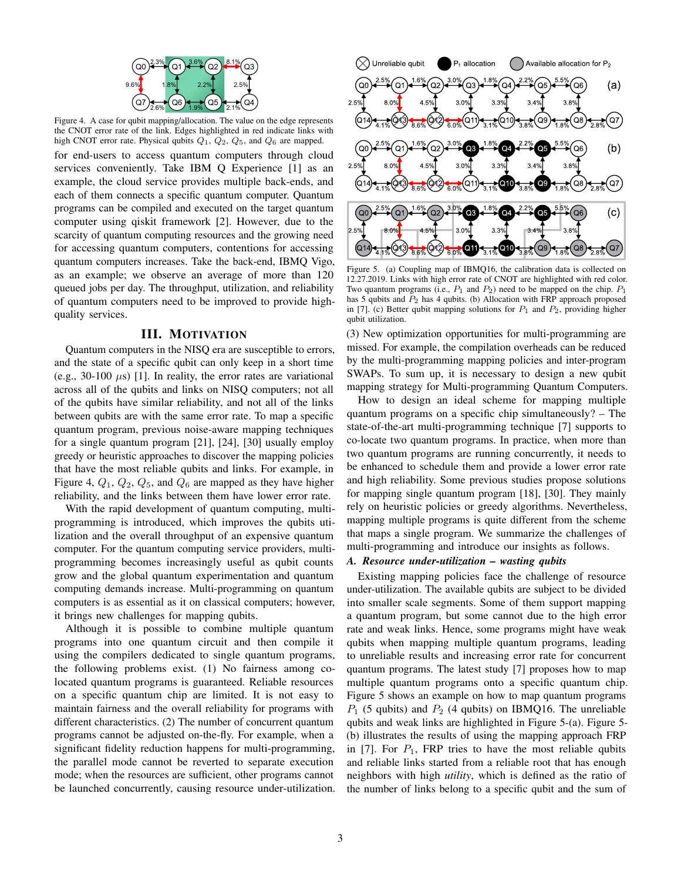

Figure 4. A case for qubit mapping/allocation. The value on the edge represents the CNOT error rate of the link. Edges highlighted in red indicate links with high CNOT error rate. Physical qubits  $Q_1$ ,  $Q_2$ ,  $Q_5$ , and  $Q_6$  are mapped.

<span id="page-2-0"></span>for end-users to access quantum computers through cloud services conveniently. Take IBM Q Experience [\[1\]](#page-10-0) as an example, the cloud service provides multiple back-ends, and each of them connects a specific quantum computer. Quantum programs can be compiled and executed on the target quantum computer using qiskit framework [\[2\]](#page-10-1). However, due to the scarcity of quantum computing resources and the growing need for accessing quantum computers, contentions for accessing quantum computers increases. Take the back-end, IBMQ Vigo, as an example; we observe an average of more than 120 queued jobs per day. The throughput, utilization, and reliability of quantum computers need to be improved to provide highquality services.

#### III. MOTIVATION

Quantum computers in the NISQ era are susceptible to errors, and the state of a specific qubit can only keep in a short time (e.g., 30-100  $\mu$ s) [\[1\]](#page-10-0). In reality, the error rates are variational across all of the qubits and links on NISQ computers; not all of the qubits have similar reliability, and not all of the links between qubits are with the same error rate. To map a specific quantum program, previous noise-aware mapping techniques for a single quantum program [\[21\]](#page-11-21), [\[24\]](#page-11-22), [\[30\]](#page-11-23) usually employ greedy or heuristic approaches to discover the mapping policies that have the most reliable qubits and links. For example, in Figure [4,](#page-2-0)  $Q_1$ ,  $Q_2$ ,  $Q_5$ , and  $Q_6$  are mapped as they have higher reliability, and the links between them have lower error rate.

With the rapid development of quantum computing, multiprogramming is introduced, which improves the qubits utilization and the overall throughput of an expensive quantum computer. For the quantum computing service providers, multiprogramming becomes increasingly useful as qubit counts grow and the global quantum experimentation and quantum computing demands increase. Multi-programming on quantum computers is as essential as it on classical computers; however, it brings new challenges for mapping qubits.

Although it is possible to combine multiple quantum programs into one quantum circuit and then compile it using the compilers dedicated to single quantum programs, the following problems exist. (1) No fairness among colocated quantum programs is guaranteed. Reliable resources on a specific quantum chip are limited. It is not easy to maintain fairness and the overall reliability for programs with different characteristics. (2) The number of concurrent quantum programs cannot be adjusted on-the-fly. For example, when a significant fidelity reduction happens for multi-programming, the parallel mode cannot be reverted to separate execution mode; when the resources are sufficient, other programs cannot be launched concurrently, causing resource under-utilization.



<span id="page-2-1"></span>Figure 5. (a) Coupling map of IBMQ16, the calibration data is collected on 12.27.2019. Links with high error rate of CNOT are highlighted with red color. Two quantum programs (i.e.,  $P_1$  and  $P_2$ ) need to be mapped on the chip.  $P_1$ has 5 qubits and  $\overline{P}_2$  has 4 qubits. (b) Allocation with FRP approach proposed in [\[7\]](#page-11-12). (c) Better qubit mapping solutions for  $P_1$  and  $P_2$ , providing higher qubit utilization.

(3) New optimization opportunities for multi-programming are missed. For example, the compilation overheads can be reduced by the multi-programming mapping policies and inter-program SWAPs. To sum up, it is necessary to design a new qubit mapping strategy for Multi-programming Quantum Computers.

How to design an ideal scheme for mapping multiple quantum programs on a specific chip simultaneously? – The state-of-the-art multi-programming technique [\[7\]](#page-11-12) supports to co-locate two quantum programs. In practice, when more than two quantum programs are running concurrently, it needs to be enhanced to schedule them and provide a lower error rate and high reliability. Some previous studies propose solutions for mapping single quantum program [\[18\]](#page-11-19), [\[30\]](#page-11-23). They mainly rely on heuristic policies or greedy algorithms. Nevertheless, mapping multiple programs is quite different from the scheme that maps a single program. We summarize the challenges of multi-programming and introduce our insights as follows.

## *A. Resource under-utilization – wasting qubits*

Existing mapping policies face the challenge of resource under-utilization. The available qubits are subject to be divided into smaller scale segments. Some of them support mapping a quantum program, but some cannot due to the high error rate and weak links. Hence, some programs might have weak qubits when mapping multiple quantum programs, leading to unreliable results and increasing error rate for concurrent quantum programs. The latest study [\[7\]](#page-11-12) proposes how to map multiple quantum programs onto a specific quantum chip. Figure [5](#page-2-1) shows an example on how to map quantum programs  $P_1$  (5 qubits) and  $P_2$  (4 qubits) on IBMQ16. The unreliable qubits and weak links are highlighted in Figure [5-](#page-2-1)(a). Figure [5-](#page-2-1) (b) illustrates the results of using the mapping approach FRP in [\[7\]](#page-11-12). For  $P_1$ , FRP tries to have the most reliable qubits and reliable links started from a reliable root that has enough neighbors with high *utility*, which is defined as the ratio of the number of links belong to a specific qubit and the sum of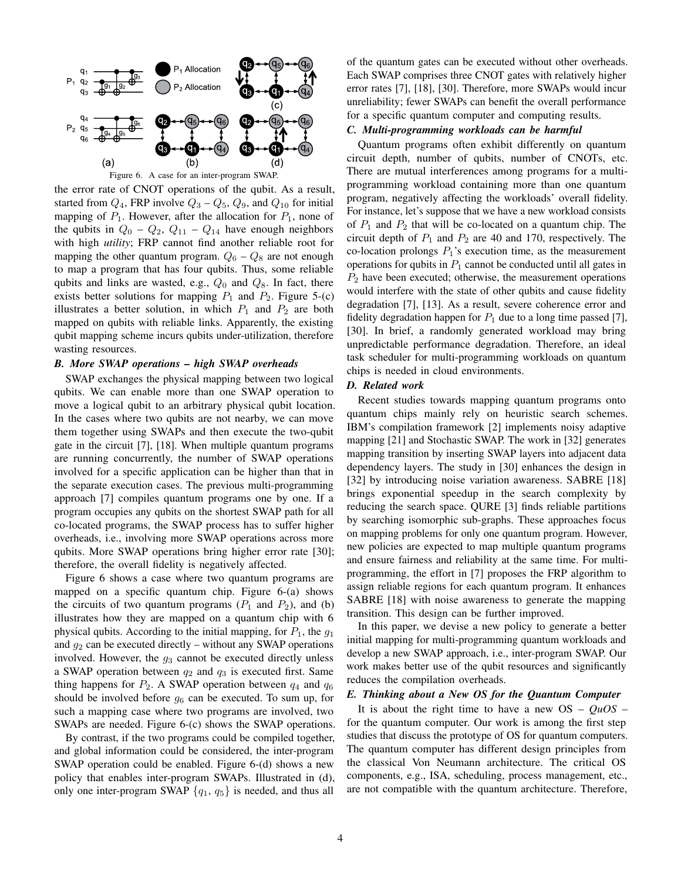

<span id="page-3-0"></span>the error rate of CNOT operations of the qubit. As a result, started from  $Q_4$ , FRP involve  $Q_3 - Q_5$ ,  $Q_9$ , and  $Q_{10}$  for initial mapping of  $P_1$ . However, after the allocation for  $P_1$ , none of the qubits in  $Q_0 - Q_2$ ,  $Q_{11} - Q_{14}$  have enough neighbors with high *utility*; FRP cannot find another reliable root for mapping the other quantum program.  $Q_6 - Q_8$  are not enough to map a program that has four qubits. Thus, some reliable qubits and links are wasted, e.g.,  $Q_0$  and  $Q_8$ . In fact, there exists better solutions for mapping  $P_1$  and  $P_2$ . Figure [5-](#page-2-1)(c) illustrates a better solution, in which  $P_1$  and  $P_2$  are both mapped on qubits with reliable links. Apparently, the existing qubit mapping scheme incurs qubits under-utilization, therefore wasting resources.

## *B. More SWAP operations – high SWAP overheads*

SWAP exchanges the physical mapping between two logical qubits. We can enable more than one SWAP operation to move a logical qubit to an arbitrary physical qubit location. In the cases where two qubits are not nearby, we can move them together using SWAPs and then execute the two-qubit gate in the circuit [\[7\]](#page-11-12), [\[18\]](#page-11-19). When multiple quantum programs are running concurrently, the number of SWAP operations involved for a specific application can be higher than that in the separate execution cases. The previous multi-programming approach [\[7\]](#page-11-12) compiles quantum programs one by one. If a program occupies any qubits on the shortest SWAP path for all co-located programs, the SWAP process has to suffer higher overheads, i.e., involving more SWAP operations across more qubits. More SWAP operations bring higher error rate [\[30\]](#page-11-23); therefore, the overall fidelity is negatively affected.

Figure [6](#page-3-0) shows a case where two quantum programs are mapped on a specific quantum chip. Figure [6-](#page-3-0)(a) shows the circuits of two quantum programs  $(P_1 \text{ and } P_2)$ , and (b) illustrates how they are mapped on a quantum chip with 6 physical qubits. According to the initial mapping, for  $P_1$ , the  $g_1$ and  $g_2$  can be executed directly – without any SWAP operations involved. However, the  $g_3$  cannot be executed directly unless a SWAP operation between  $q_2$  and  $q_3$  is executed first. Same thing happens for  $P_2$ . A SWAP operation between  $q_4$  and  $q_6$ should be involved before  $g_6$  can be executed. To sum up, for such a mapping case where two programs are involved, two SWAPs are needed. Figure [6-](#page-3-0)(c) shows the SWAP operations.

By contrast, if the two programs could be compiled together, and global information could be considered, the inter-program SWAP operation could be enabled. Figure [6-](#page-3-0)(d) shows a new policy that enables inter-program SWAPs. Illustrated in (d), only one inter-program SWAP  ${q_1, q_5}$  is needed, and thus all

of the quantum gates can be executed without other overheads. Each SWAP comprises three CNOT gates with relatively higher error rates [\[7\]](#page-11-12), [\[18\]](#page-11-19), [\[30\]](#page-11-23). Therefore, more SWAPs would incur unreliability; fewer SWAPs can benefit the overall performance for a specific quantum computer and computing results.

# *C. Multi-programming workloads can be harmful*

Quantum programs often exhibit differently on quantum circuit depth, number of qubits, number of CNOTs, etc. There are mutual interferences among programs for a multiprogramming workload containing more than one quantum program, negatively affecting the workloads' overall fidelity. For instance, let's suppose that we have a new workload consists of  $P_1$  and  $P_2$  that will be co-located on a quantum chip. The circuit depth of  $P_1$  and  $P_2$  are 40 and 170, respectively. The co-location prolongs  $P_1$ 's execution time, as the measurement operations for qubits in  $P_1$  cannot be conducted until all gates in  $P<sub>2</sub>$  have been executed; otherwise, the measurement operations would interfere with the state of other qubits and cause fidelity degradation [\[7\]](#page-11-12), [\[13\]](#page-11-24). As a result, severe coherence error and fidelity degradation happen for  $P_1$  due to a long time passed [\[7\]](#page-11-12), [\[30\]](#page-11-23). In brief, a randomly generated workload may bring unpredictable performance degradation. Therefore, an ideal task scheduler for multi-programming workloads on quantum chips is needed in cloud environments.

## *D. Related work*

Recent studies towards mapping quantum programs onto quantum chips mainly rely on heuristic search schemes. IBM's compilation framework [\[2\]](#page-10-1) implements noisy adaptive mapping [\[21\]](#page-11-21) and Stochastic SWAP. The work in [\[32\]](#page-11-25) generates mapping transition by inserting SWAP layers into adjacent data dependency layers. The study in [\[30\]](#page-11-23) enhances the design in [\[32\]](#page-11-25) by introducing noise variation awareness. SABRE [\[18\]](#page-11-19) brings exponential speedup in the search complexity by reducing the search space. QURE [\[3\]](#page-11-26) finds reliable partitions by searching isomorphic sub-graphs. These approaches focus on mapping problems for only one quantum program. However, new policies are expected to map multiple quantum programs and ensure fairness and reliability at the same time. For multiprogramming, the effort in [\[7\]](#page-11-12) proposes the FRP algorithm to assign reliable regions for each quantum program. It enhances SABRE [\[18\]](#page-11-19) with noise awareness to generate the mapping transition. This design can be further improved.

In this paper, we devise a new policy to generate a better initial mapping for multi-programming quantum workloads and develop a new SWAP approach, i.e., inter-program SWAP. Our work makes better use of the qubit resources and significantly reduces the compilation overheads.

## *E. Thinking about a New OS for the Quantum Computer*

It is about the right time to have a new  $OS - QuOS$ for the quantum computer. Our work is among the first step studies that discuss the prototype of OS for quantum computers. The quantum computer has different design principles from the classical Von Neumann architecture. The critical OS components, e.g., ISA, scheduling, process management, etc., are not compatible with the quantum architecture. Therefore,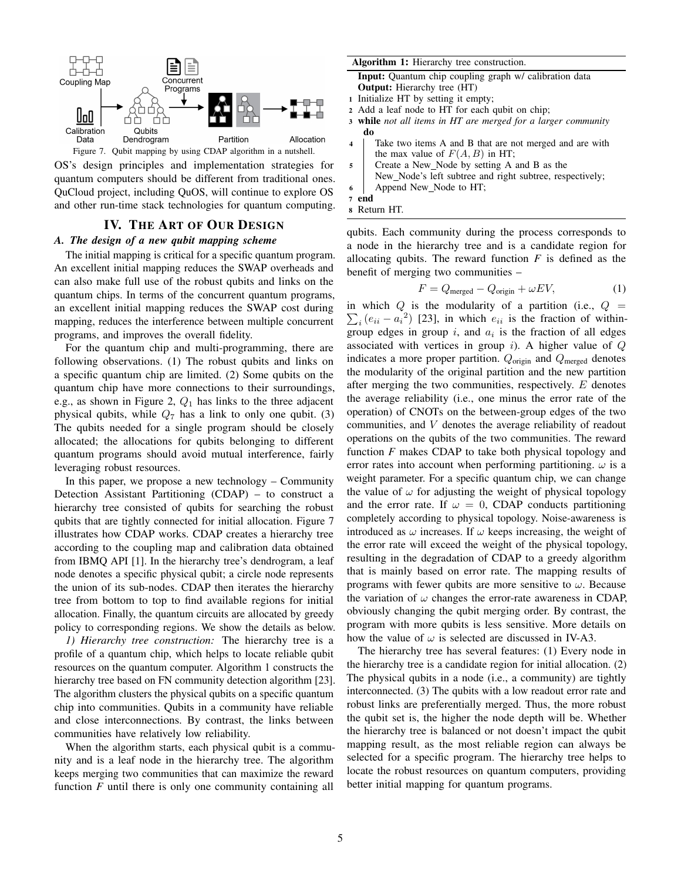

<span id="page-4-0"></span>Figure 7. Qubit mapping by using CDAP algorithm in a nutshell.

OS's design principles and implementation strategies for quantum computers should be different from traditional ones. QuCloud project, including QuOS, will continue to explore OS and other run-time stack technologies for quantum computing.

## IV. THE ART OF OUR DESIGN

## *A. The design of a new qubit mapping scheme*

The initial mapping is critical for a specific quantum program. An excellent initial mapping reduces the SWAP overheads and can also make full use of the robust qubits and links on the quantum chips. In terms of the concurrent quantum programs, an excellent initial mapping reduces the SWAP cost during mapping, reduces the interference between multiple concurrent programs, and improves the overall fidelity.

For the quantum chip and multi-programming, there are following observations. (1) The robust qubits and links on a specific quantum chip are limited. (2) Some qubits on the quantum chip have more connections to their surroundings, e.g., as shown in Figure [2,](#page-1-1)  $Q_1$  has links to the three adjacent physical qubits, while  $Q_7$  has a link to only one qubit. (3) The qubits needed for a single program should be closely allocated; the allocations for qubits belonging to different quantum programs should avoid mutual interference, fairly leveraging robust resources.

In this paper, we propose a new technology – Community Detection Assistant Partitioning (CDAP) – to construct a hierarchy tree consisted of qubits for searching the robust qubits that are tightly connected for initial allocation. Figure [7](#page-4-0) illustrates how CDAP works. CDAP creates a hierarchy tree according to the coupling map and calibration data obtained from IBMQ API [\[1\]](#page-10-0). In the hierarchy tree's dendrogram, a leaf node denotes a specific physical qubit; a circle node represents the union of its sub-nodes. CDAP then iterates the hierarchy tree from bottom to top to find available regions for initial allocation. Finally, the quantum circuits are allocated by greedy policy to corresponding regions. We show the details as below.

*1) Hierarchy tree construction:* The hierarchy tree is a profile of a quantum chip, which helps to locate reliable qubit resources on the quantum computer. Algorithm [1](#page-4-1) constructs the hierarchy tree based on FN community detection algorithm [\[23\]](#page-11-13). The algorithm clusters the physical qubits on a specific quantum chip into communities. Qubits in a community have reliable and close interconnections. By contrast, the links between communities have relatively low reliability.

<span id="page-4-1"></span>When the algorithm starts, each physical qubit is a community and is a leaf node in the hierarchy tree. The algorithm keeps merging two communities that can maximize the reward function *F* until there is only one community containing all

#### Algorithm 1: Hierarchy tree construction.

Input: Quantum chip coupling graph w/ calibration data Output: Hierarchy tree (HT)

- <sup>1</sup> Initialize HT by setting it empty;
- <sup>2</sup> Add a leaf node to HT for each qubit on chip;
- <sup>3</sup> while *not all items in HT are merged for a larger community* do
- <sup>4</sup> Take two items A and B that are not merged and are with the max value of  $F(A, B)$  in HT;
- <sup>5</sup> Create a New Node by setting A and B as the New Node's left subtree and right subtree, respectively;

<sup>6</sup> Append New Node to HT;

```
7 end
8 Return HT.
```
qubits. Each community during the process corresponds to a node in the hierarchy tree and is a candidate region for allocating qubits. The reward function *F* is defined as the benefit of merging two communities –

<span id="page-4-2"></span>
$$
F = Q_{\text{merged}} - Q_{\text{origin}} + \omega EV,\tag{1}
$$

in which  $Q$  is the modularity of a partition (i.e.,  $Q =$  $\sum_i (e_{ii} - a_i^2)$  [\[23\]](#page-11-13), in which  $e_{ii}$  is the fraction of withingroup edges in group  $i$ , and  $a_i$  is the fraction of all edges associated with vertices in group  $i$ ). A higher value of  $Q$ indicates a more proper partition.  $Q_{\text{origin}}$  and  $Q_{\text{merged}}$  denotes the modularity of the original partition and the new partition after merging the two communities, respectively. E denotes the average reliability (i.e., one minus the error rate of the operation) of CNOTs on the between-group edges of the two communities, and V denotes the average reliability of readout operations on the qubits of the two communities. The reward function *F* makes CDAP to take both physical topology and error rates into account when performing partitioning.  $\omega$  is a weight parameter. For a specific quantum chip, we can change the value of  $\omega$  for adjusting the weight of physical topology and the error rate. If  $\omega = 0$ , CDAP conducts partitioning completely according to physical topology. Noise-awareness is introduced as  $\omega$  increases. If  $\omega$  keeps increasing, the weight of the error rate will exceed the weight of the physical topology, resulting in the degradation of CDAP to a greedy algorithm that is mainly based on error rate. The mapping results of programs with fewer qubits are more sensitive to  $\omega$ . Because the variation of  $\omega$  changes the error-rate awareness in CDAP, obviously changing the qubit merging order. By contrast, the program with more qubits is less sensitive. More details on how the value of  $\omega$  is selected are discussed in [IV-A3.](#page-5-0)

The hierarchy tree has several features: (1) Every node in the hierarchy tree is a candidate region for initial allocation. (2) The physical qubits in a node (i.e., a community) are tightly interconnected. (3) The qubits with a low readout error rate and robust links are preferentially merged. Thus, the more robust the qubit set is, the higher the node depth will be. Whether the hierarchy tree is balanced or not doesn't impact the qubit mapping result, as the most reliable region can always be selected for a specific program. The hierarchy tree helps to locate the robust resources on quantum computers, providing better initial mapping for quantum programs.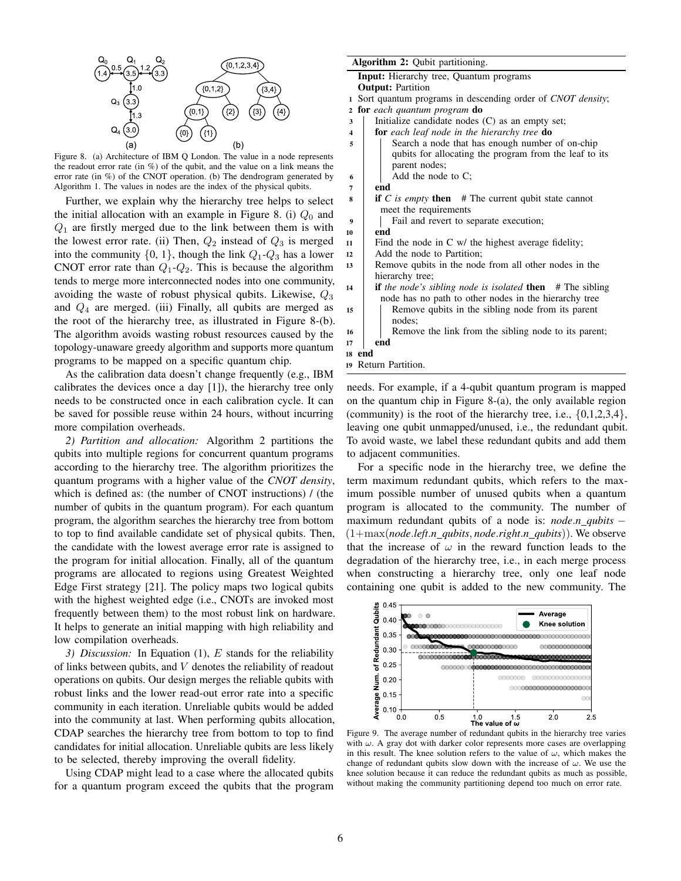

<span id="page-5-1"></span>Figure 8. (a) Architecture of IBM Q London. The value in a node represents the readout error rate (in %) of the qubit, and the value on a link means the error rate (in %) of the CNOT operation. (b) The dendrogram generated by Algorithm [1.](#page-4-1) The values in nodes are the index of the physical qubits.

Further, we explain why the hierarchy tree helps to select the initial allocation with an example in Figure [8.](#page-5-1) (i)  $Q_0$  and  $Q_1$  are firstly merged due to the link between them is with the lowest error rate. (ii) Then,  $Q_2$  instead of  $Q_3$  is merged into the community  $\{0, 1\}$ , though the link  $Q_1 - Q_3$  has a lower CNOT error rate than  $Q_1$ - $Q_2$ . This is because the algorithm tends to merge more interconnected nodes into one community, avoiding the waste of robust physical qubits. Likewise,  $Q_3$ and  $Q_4$  are merged. (iii) Finally, all qubits are merged as the root of the hierarchy tree, as illustrated in Figure [8-](#page-5-1)(b). The algorithm avoids wasting robust resources caused by the topology-unaware greedy algorithm and supports more quantum programs to be mapped on a specific quantum chip.

As the calibration data doesn't change frequently (e.g., IBM calibrates the devices once a day [\[1\]](#page-10-0)), the hierarchy tree only needs to be constructed once in each calibration cycle. It can be saved for possible reuse within 24 hours, without incurring more compilation overheads.

*2) Partition and allocation:* Algorithm [2](#page-5-0) partitions the qubits into multiple regions for concurrent quantum programs according to the hierarchy tree. The algorithm prioritizes the quantum programs with a higher value of the *CNOT density*, which is defined as: (the number of CNOT instructions) / (the number of qubits in the quantum program). For each quantum program, the algorithm searches the hierarchy tree from bottom to top to find available candidate set of physical qubits. Then, the candidate with the lowest average error rate is assigned to the program for initial allocation. Finally, all of the quantum programs are allocated to regions using Greatest Weighted Edge First strategy [\[21\]](#page-11-21). The policy maps two logical qubits with the highest weighted edge (i.e., CNOTs are invoked most frequently between them) to the most robust link on hardware. It helps to generate an initial mapping with high reliability and low compilation overheads.

<span id="page-5-0"></span>*3) Discussion:* In Equation [\(1\)](#page-4-2), E stands for the reliability of links between qubits, and  $V$  denotes the reliability of readout operations on qubits. Our design merges the reliable qubits with robust links and the lower read-out error rate into a specific community in each iteration. Unreliable qubits would be added into the community at last. When performing qubits allocation, CDAP searches the hierarchy tree from bottom to top to find candidates for initial allocation. Unreliable qubits are less likely to be selected, thereby improving the overall fidelity.

Using CDAP might lead to a case where the allocated qubits for a quantum program exceed the qubits that the program

#### Algorithm 2: Qubit partitioning.

- Input: Hierarchy tree, Quantum programs
- **Output: Partition**
- <sup>1</sup> Sort quantum programs in descending order of *CNOT density*;
- <sup>2</sup> for *each quantum program* do
- 3 | Initialize candidate nodes (C) as an empty set;
- <sup>4</sup> for *each leaf node in the hierarchy tree* do
- 5 Search a node that has enough number of on-chip qubits for allocating the program from the leaf to its parent nodes;  $\bullet$  |  $\bullet$  Add the node to C;

7 end

<sup>8</sup> if *C is empty* then # The current qubit state cannot meet the requirements

<sup>9</sup> Fail and revert to separate execution;

- <sup>10</sup> end
- <sup>11</sup> Find the node in C w/ the highest average fidelity;
- <sup>12</sup> Add the node to Partition;
- <sup>13</sup> Remove qubits in the node from all other nodes in the hierarchy tree;
- 14 **if** *the node's sibling node is isolated* **then** # The sibling node has no path to other nodes in the hierarchy tree 15 | Remove qubits in the sibling node from its parent nodes;
- 16 **Remove the link from the sibling node to its parent;** <sup>17</sup> end
- <sup>18</sup> end
- <sup>19</sup> Return Partition.

needs. For example, if a 4-qubit quantum program is mapped on the quantum chip in Figure [8-](#page-5-1)(a), the only available region (community) is the root of the hierarchy tree, i.e.,  $\{0,1,2,3,4\}$ , leaving one qubit unmapped/unused, i.e., the redundant qubit. To avoid waste, we label these redundant qubits and add them to adjacent communities.

For a specific node in the hierarchy tree, we define the term maximum redundant qubits, which refers to the maximum possible number of unused qubits when a quantum program is allocated to the community. The number of maximum redundant qubits of a node is: *node*.*n qubits* − (1+max(*node*.*left*.*n qubits*, *node*.*right*.*n qubits*)). We observe that the increase of  $\omega$  in the reward function leads to the degradation of the hierarchy tree, i.e., in each merge process when constructing a hierarchy tree, only one leaf node containing one qubit is added to the new community. The



<span id="page-5-2"></span>Figure 9. The average number of redundant qubits in the hierarchy tree varies with  $\omega$ . A gray dot with darker color represents more cases are overlapping in this result. The knee solution refers to the value of  $\omega$ , which makes the change of redundant qubits slow down with the increase of  $\omega$ . We use the knee solution because it can reduce the redundant qubits as much as possible, without making the community partitioning depend too much on error rate.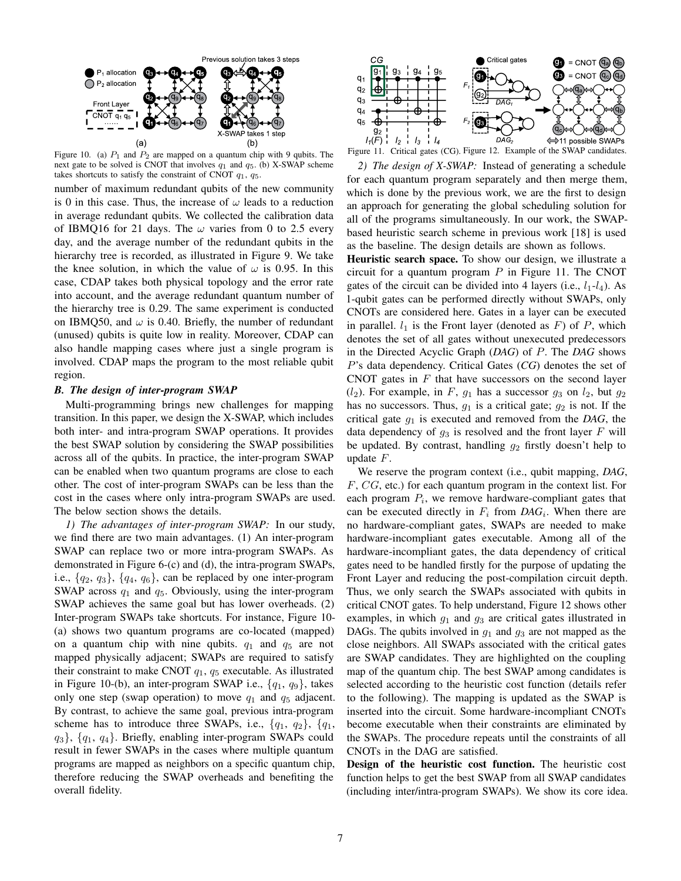

<span id="page-6-0"></span>Figure 10. (a)  $P_1$  and  $P_2$  are mapped on a quantum chip with 9 qubits. The next gate to be solved is CNOT that involves  $q_1$  and  $q_5$ . (b) X-SWAP scheme takes shortcuts to satisfy the constraint of CNOT  $q_1$ ,  $q_5$ .

number of maximum redundant qubits of the new community is 0 in this case. Thus, the increase of  $\omega$  leads to a reduction in average redundant qubits. We collected the calibration data of IBMQ16 for 21 days. The  $\omega$  varies from 0 to 2.5 every day, and the average number of the redundant qubits in the hierarchy tree is recorded, as illustrated in Figure [9.](#page-5-2) We take the knee solution, in which the value of  $\omega$  is 0.95. In this case, CDAP takes both physical topology and the error rate into account, and the average redundant quantum number of the hierarchy tree is 0.29. The same experiment is conducted on IBMQ50, and  $\omega$  is 0.40. Briefly, the number of redundant (unused) qubits is quite low in reality. Moreover, CDAP can also handle mapping cases where just a single program is involved. CDAP maps the program to the most reliable qubit region.

#### *B. The design of inter-program SWAP*

Multi-programming brings new challenges for mapping transition. In this paper, we design the X-SWAP, which includes both inter- and intra-program SWAP operations. It provides the best SWAP solution by considering the SWAP possibilities across all of the qubits. In practice, the inter-program SWAP can be enabled when two quantum programs are close to each other. The cost of inter-program SWAPs can be less than the cost in the cases where only intra-program SWAPs are used. The below section shows the details.

*1) The advantages of inter-program SWAP:* In our study, we find there are two main advantages. (1) An inter-program SWAP can replace two or more intra-program SWAPs. As demonstrated in Figure [6-](#page-3-0)(c) and (d), the intra-program SWAPs, i.e.,  $\{q_2, q_3\}$ ,  $\{q_4, q_6\}$ , can be replaced by one inter-program SWAP across  $q_1$  and  $q_5$ . Obviously, using the inter-program SWAP achieves the same goal but has lower overheads. (2) Inter-program SWAPs take shortcuts. For instance, Figure [10-](#page-6-0) (a) shows two quantum programs are co-located (mapped) on a quantum chip with nine qubits.  $q_1$  and  $q_5$  are not mapped physically adjacent; SWAPs are required to satisfy their constraint to make CNOT  $q_1$ ,  $q_5$  executable. As illustrated in Figure [10-](#page-6-0)(b), an inter-program SWAP i.e.,  $\{q_1, q_9\}$ , takes only one step (swap operation) to move  $q_1$  and  $q_5$  adjacent. By contrast, to achieve the same goal, previous intra-program scheme has to introduce three SWAPs, i.e.,  $\{q_1, q_2\}$ ,  $\{q_1, q_2\}$  $q_3$ ,  $\{q_1, q_4\}$ . Briefly, enabling inter-program SWAPs could result in fewer SWAPs in the cases where multiple quantum programs are mapped as neighbors on a specific quantum chip, therefore reducing the SWAP overheads and benefiting the overall fidelity.



<span id="page-6-1"></span>Figure 11. Critical gates (CG). Figure 12. Example of the SWAP candidates.

*2) The design of X-SWAP:* Instead of generating a schedule for each quantum program separately and then merge them, which is done by the previous work, we are the first to design an approach for generating the global scheduling solution for all of the programs simultaneously. In our work, the SWAPbased heuristic search scheme in previous work [\[18\]](#page-11-19) is used as the baseline. The design details are shown as follows.

Heuristic search space. To show our design, we illustrate a circuit for a quantum program  $P$  in Figure [11.](#page-6-1) The CNOT gates of the circuit can be divided into 4 layers (i.e.,  $l_1-l_4$ ). As 1-qubit gates can be performed directly without SWAPs, only CNOTs are considered here. Gates in a layer can be executed in parallel.  $l_1$  is the Front layer (denoted as F) of P, which denotes the set of all gates without unexecuted predecessors in the Directed Acyclic Graph (*DAG*) of P. The *DAG* shows P's data dependency. Critical Gates (*CG*) denotes the set of CNOT gates in  $F$  that have successors on the second layer  $(l_2)$ . For example, in F,  $q_1$  has a successor  $q_3$  on  $l_2$ , but  $q_2$ has no successors. Thus,  $g_1$  is a critical gate;  $g_2$  is not. If the critical gate  $g_1$  is executed and removed from the *DAG*, the data dependency of  $g_3$  is resolved and the front layer F will be updated. By contrast, handling  $g_2$  firstly doesn't help to update F.

We reserve the program context (i.e., qubit mapping, *DAG*, F, CG, etc.) for each quantum program in the context list. For each program  $P_i$ , we remove hardware-compliant gates that can be executed directly in  $F_i$  from  $DAG_i$ . When there are no hardware-compliant gates, SWAPs are needed to make hardware-incompliant gates executable. Among all of the hardware-incompliant gates, the data dependency of critical gates need to be handled firstly for the purpose of updating the Front Layer and reducing the post-compilation circuit depth. Thus, we only search the SWAPs associated with qubits in critical CNOT gates. To help understand, Figure 12 shows other examples, in which  $g_1$  and  $g_3$  are critical gates illustrated in DAGs. The qubits involved in  $q_1$  and  $q_3$  are not mapped as the close neighbors. All SWAPs associated with the critical gates are SWAP candidates. They are highlighted on the coupling map of the quantum chip. The best SWAP among candidates is selected according to the heuristic cost function (details refer to the following). The mapping is updated as the SWAP is inserted into the circuit. Some hardware-incompliant CNOTs become executable when their constraints are eliminated by the SWAPs. The procedure repeats until the constraints of all CNOTs in the DAG are satisfied.

Design of the heuristic cost function. The heuristic cost function helps to get the best SWAP from all SWAP candidates (including inter/intra-program SWAPs). We show its core idea.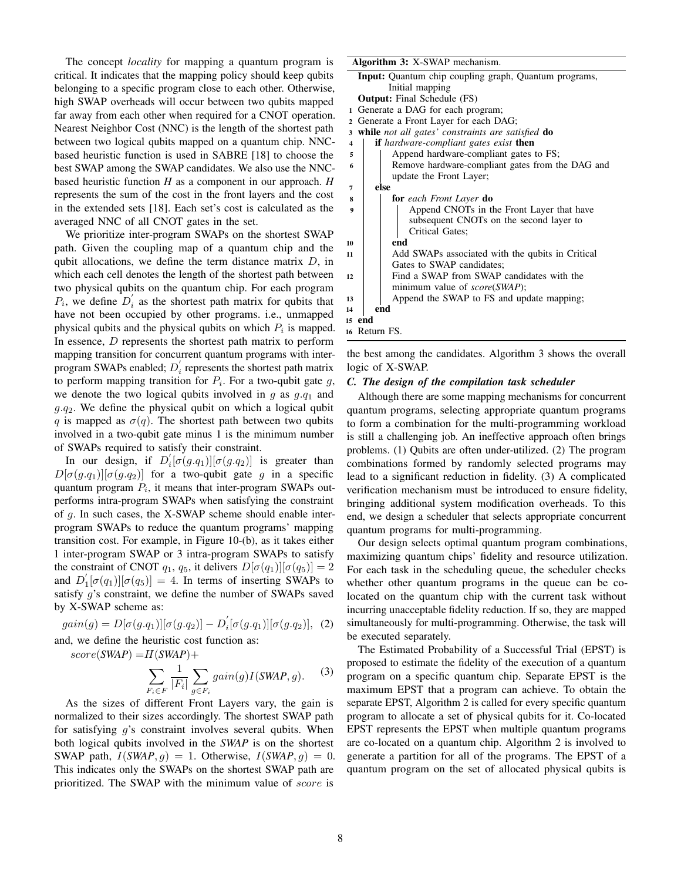The concept *locality* for mapping a quantum program is critical. It indicates that the mapping policy should keep qubits belonging to a specific program close to each other. Otherwise, high SWAP overheads will occur between two qubits mapped far away from each other when required for a CNOT operation. Nearest Neighbor Cost (NNC) is the length of the shortest path between two logical qubits mapped on a quantum chip. NNCbased heuristic function is used in SABRE [\[18\]](#page-11-19) to choose the best SWAP among the SWAP candidates. We also use the NNCbased heuristic function *H* as a component in our approach. *H* represents the sum of the cost in the front layers and the cost in the extended sets [\[18\]](#page-11-19). Each set's cost is calculated as the averaged NNC of all CNOT gates in the set.

We prioritize inter-program SWAPs on the shortest SWAP path. Given the coupling map of a quantum chip and the qubit allocations, we define the term distance matrix  $D$ , in which each cell denotes the length of the shortest path between two physical qubits on the quantum chip. For each program  $P_i$ , we define  $D'_i$  as the shortest path matrix for qubits that have not been occupied by other programs. i.e., unmapped physical qubits and the physical qubits on which  $P_i$  is mapped. In essence,  $D$  represents the shortest path matrix to perform mapping transition for concurrent quantum programs with interprogram SWAPs enabled;  $D_i$  represents the shortest path matrix to perform mapping transition for  $P_i$ . For a two-qubit gate  $g$ , we denote the two logical qubits involved in  $g$  as  $g.q_1$  and  $g.q_2$ . We define the physical qubit on which a logical qubit q is mapped as  $\sigma(q)$ . The shortest path between two qubits involved in a two-qubit gate minus 1 is the minimum number of SWAPs required to satisfy their constraint.

In our design, if  $D_i'[\sigma(g.q_1)][\sigma(g.q_2)]$  is greater than  $D[\sigma(g.q_1)][\sigma(g.q_2)]$  for a two-qubit gate g in a specific quantum program  $P_i$ , it means that inter-program SWAPs outperforms intra-program SWAPs when satisfying the constraint of g. In such cases, the X-SWAP scheme should enable interprogram SWAPs to reduce the quantum programs' mapping transition cost. For example, in Figure [10-](#page-6-0)(b), as it takes either 1 inter-program SWAP or 3 intra-program SWAPs to satisfy the constraint of CNOT  $q_1$ ,  $q_5$ , it delivers  $D[\sigma(q_1)][\sigma(q_5)] = 2$ and  $D_1'[\sigma(q_1)][\sigma(q_5)] = 4$ . In terms of inserting SWAPs to satisfy g's constraint, we define the number of SWAPs saved by X-SWAP scheme as:

$$
gain(g) = D[\sigma(g.q_1)][\sigma(g.q_2)] - D_i'[\sigma(g.q_1)][\sigma(g.q_2)], \quad (2)
$$

and, we define the heuristic cost function as:

 $score(SWAP) = H(SWAP) +$ 

$$
\sum_{F_i \in F} \frac{1}{|F_i|} \sum_{g \in F_i} gain(g) I(SWAP, g).
$$
 (3)

As the sizes of different Front Layers vary, the gain is normalized to their sizes accordingly. The shortest SWAP path for satisfying  $q$ 's constraint involves several qubits. When both logical qubits involved in the *SWAP* is on the shortest SWAP path,  $I(SWAP, g) = 1$ . Otherwise,  $I(SWAP, g) = 0$ . This indicates only the SWAPs on the shortest SWAP path are prioritized. The SWAP with the minimum value of *score* is

| <b>Input:</b> Quantum chip coupling graph, Quantum programs,                    |  |  |  |  |  |  |  |
|---------------------------------------------------------------------------------|--|--|--|--|--|--|--|
| Initial mapping                                                                 |  |  |  |  |  |  |  |
| <b>Output:</b> Final Schedule (FS)                                              |  |  |  |  |  |  |  |
| Generate a DAG for each program;<br>1                                           |  |  |  |  |  |  |  |
| Generate a Front Layer for each DAG;<br>$\mathbf{2}$                            |  |  |  |  |  |  |  |
| while not all gates' constraints are satisfied do<br>3                          |  |  |  |  |  |  |  |
| <b>if</b> hardware-compliant gates exist <b>then</b><br>$\overline{\mathbf{4}}$ |  |  |  |  |  |  |  |
| Append hardware-compliant gates to FS;<br>5                                     |  |  |  |  |  |  |  |
| Remove hardware-compliant gates from the DAG and<br>6                           |  |  |  |  |  |  |  |
| update the Front Layer;                                                         |  |  |  |  |  |  |  |
| else<br>7                                                                       |  |  |  |  |  |  |  |
| <b>for</b> each Front Layer <b>do</b><br>8                                      |  |  |  |  |  |  |  |
| Append CNOTs in the Front Layer that have<br>$\boldsymbol{9}$                   |  |  |  |  |  |  |  |
| subsequent CNOTs on the second layer to                                         |  |  |  |  |  |  |  |
| Critical Gates;                                                                 |  |  |  |  |  |  |  |
| end<br>10                                                                       |  |  |  |  |  |  |  |
| Add SWAPs associated with the qubits in Critical<br>11                          |  |  |  |  |  |  |  |
| Gates to SWAP candidates;                                                       |  |  |  |  |  |  |  |
| Find a SWAP from SWAP candidates with the<br>12                                 |  |  |  |  |  |  |  |
| minimum value of <i>score</i> ( <i>SWAP</i> );                                  |  |  |  |  |  |  |  |
| Append the SWAP to FS and update mapping;<br>13                                 |  |  |  |  |  |  |  |
| end<br>14                                                                       |  |  |  |  |  |  |  |
| 15 end                                                                          |  |  |  |  |  |  |  |
| 16 Return FS.                                                                   |  |  |  |  |  |  |  |

the best among the candidates. Algorithm [3](#page-7-0) shows the overall logic of X-SWAP.

#### <span id="page-7-0"></span>*C. The design of the compilation task scheduler*

Although there are some mapping mechanisms for concurrent quantum programs, selecting appropriate quantum programs to form a combination for the multi-programming workload is still a challenging job. An ineffective approach often brings problems. (1) Qubits are often under-utilized. (2) The program combinations formed by randomly selected programs may lead to a significant reduction in fidelity. (3) A complicated verification mechanism must be introduced to ensure fidelity, bringing additional system modification overheads. To this end, we design a scheduler that selects appropriate concurrent quantum programs for multi-programming.

Our design selects optimal quantum program combinations, maximizing quantum chips' fidelity and resource utilization. For each task in the scheduling queue, the scheduler checks whether other quantum programs in the queue can be colocated on the quantum chip with the current task without incurring unacceptable fidelity reduction. If so, they are mapped simultaneously for multi-programming. Otherwise, the task will be executed separately.

<span id="page-7-1"></span>The Estimated Probability of a Successful Trial (EPST) is proposed to estimate the fidelity of the execution of a quantum program on a specific quantum chip. Separate EPST is the maximum EPST that a program can achieve. To obtain the separate EPST, Algorithm [2](#page-5-0) is called for every specific quantum program to allocate a set of physical qubits for it. Co-located EPST represents the EPST when multiple quantum programs are co-located on a quantum chip. Algorithm [2](#page-5-0) is involved to generate a partition for all of the programs. The EPST of a quantum program on the set of allocated physical qubits is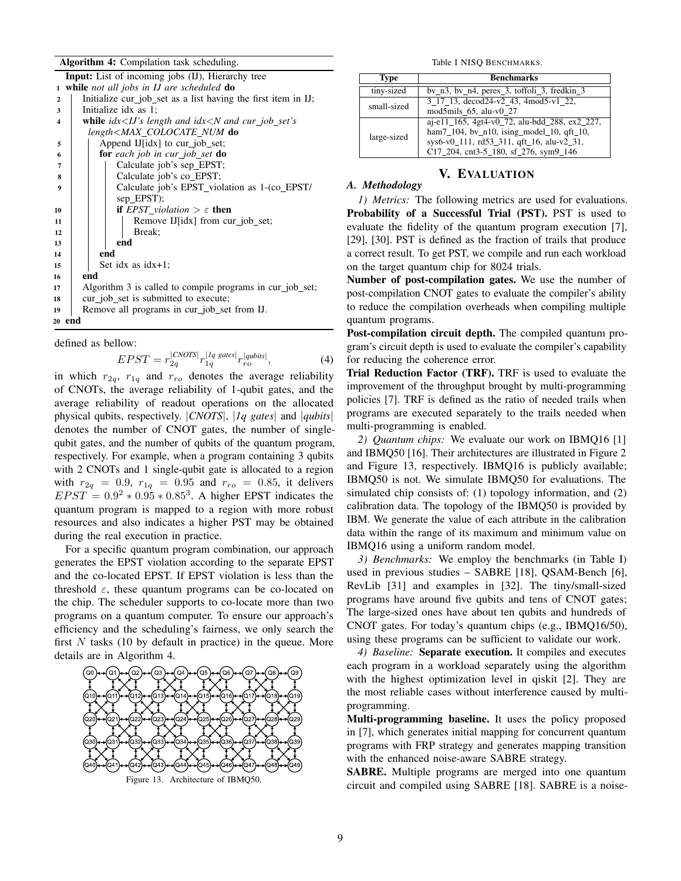### Algorithm 4: Compilation task scheduling.

|                  |                      |  | Input: List of incoming jobs (IJ), Hierarchy tree                      |  |  |  |  |  |  |
|------------------|----------------------|--|------------------------------------------------------------------------|--|--|--|--|--|--|
| $\mathbf{1}$     |                      |  | while not all jobs in IJ are scheduled do                              |  |  |  |  |  |  |
| $\overline{2}$   |                      |  | Initialize cur job set as a list having the first item in IJ;          |  |  |  |  |  |  |
| 3                | Initialize idx as 1; |  |                                                                        |  |  |  |  |  |  |
| $\blacktriangle$ |                      |  | <b>while</b> $idx < IJ$ 's length and $idx < N$ and $cur\_job\_set$ 's |  |  |  |  |  |  |
|                  |                      |  | length <max_colocate_num do<="" td=""></max_colocate_num>              |  |  |  |  |  |  |
| 5                |                      |  | Append IJ[idx] to cur_job_set;                                         |  |  |  |  |  |  |
| 6                |                      |  | <b>for</b> each job in cur job set <b>do</b>                           |  |  |  |  |  |  |
| $\overline{7}$   |                      |  | Calculate job's sep_EPST;                                              |  |  |  |  |  |  |
| 8                |                      |  | Calculate job's co EPST;                                               |  |  |  |  |  |  |
| $\boldsymbol{9}$ |                      |  | Calculate job's EPST violation as 1-(co EPST/                          |  |  |  |  |  |  |
|                  |                      |  | sep $EPST$ :                                                           |  |  |  |  |  |  |
| 10               |                      |  | <b>if</b> EPST violation $\geq \varepsilon$ then                       |  |  |  |  |  |  |
| 11               |                      |  | Remove IJ[idx] from cur_job_set;                                       |  |  |  |  |  |  |
| 12               |                      |  | Break:                                                                 |  |  |  |  |  |  |
| 13               |                      |  | end                                                                    |  |  |  |  |  |  |
| 14               |                      |  | end                                                                    |  |  |  |  |  |  |
| 15               |                      |  | Set idx as $idx+1$ ;                                                   |  |  |  |  |  |  |
| 16               | end                  |  |                                                                        |  |  |  |  |  |  |
| 17               |                      |  | Algorithm 3 is called to compile programs in cur_job_set;              |  |  |  |  |  |  |
| 18               |                      |  | cur_job_set is submitted to execute;                                   |  |  |  |  |  |  |
| 19               |                      |  | Remove all programs in cur job set from IJ.                            |  |  |  |  |  |  |
| 20 end           |                      |  |                                                                        |  |  |  |  |  |  |

defined as bellow:

$$
EPST = r_{2q}^{|CNOTS|} r_{1q}^{|Iq\;gates|} r_{ro}^{|qubits|},\tag{4}
$$

in which  $r_{2q}$ ,  $r_{1q}$  and  $r_{ro}$  denotes the average reliability of CNOTs, the average reliability of 1-qubit gates, and the average reliability of readout operations on the allocated physical qubits, respectively. |*CNOTS*|, |*1q gates*| and |*qubits*| denotes the number of CNOT gates, the number of singlequbit gates, and the number of qubits of the quantum program, respectively. For example, when a program containing 3 qubits with 2 CNOTs and 1 single-qubit gate is allocated to a region with  $r_{2q} = 0.9$ ,  $r_{1q} = 0.95$  and  $r_{ro} = 0.85$ , it delivers  $EPST = 0.9^2 * 0.95 * 0.85^3$ . A higher EPST indicates the quantum program is mapped to a region with more robust resources and also indicates a higher PST may be obtained during the real execution in practice.

For a specific quantum program combination, our approach generates the EPST violation according to the separate EPST and the co-located EPST. If EPST violation is less than the threshold  $\varepsilon$ , these quantum programs can be co-located on the chip. The scheduler supports to co-locate more than two programs on a quantum computer. To ensure our approach's efficiency and the scheduling's fairness, we only search the first  $N$  tasks (10 by default in practice) in the queue. More details are in Algorithm [4.](#page-7-1)

<span id="page-8-0"></span>

<span id="page-8-1"></span>Table I NISQ BENCHMARKS.

| Type        | <b>Benchmarks</b>                                                                                                                                                                      |
|-------------|----------------------------------------------------------------------------------------------------------------------------------------------------------------------------------------|
| tiny-sized  | $bv_n3$ , $bv_n4$ , $peres_3$ , $toffoli_3$ , $fredkin_3$                                                                                                                              |
| small-sized | 3 17 13, decod24-v2 43, 4mod5-v1 22,<br>mod5mils_65, alu-v $0$ _27                                                                                                                     |
| large-sized | aj-e11_165, 4gt4-v0_72, alu-bdd_288, ex2_227,<br>ham $7_{104}$ , bv_n10, ising_model_10, qft_10,<br>sys6-v0_111, rd53_311, qft_16, alu-v2_31,<br>C17_204, cnt3-5_180, sf_276, sym9_146 |

# V. EVALUATION

#### *A. Methodology*

*1) Metrics:* The following metrics are used for evaluations. Probability of a Successful Trial (PST). PST is used to evaluate the fidelity of the quantum program execution [\[7\]](#page-11-12), [\[29\]](#page-11-27), [\[30\]](#page-11-23). PST is defined as the fraction of trails that produce a correct result. To get PST, we compile and run each workload on the target quantum chip for 8024 trials.

Number of post-compilation gates. We use the number of post-compilation CNOT gates to evaluate the compiler's ability to reduce the compilation overheads when compiling multiple quantum programs.

Post-compilation circuit depth. The compiled quantum program's circuit depth is used to evaluate the compiler's capability for reducing the coherence error.

Trial Reduction Factor (TRF). TRF is used to evaluate the improvement of the throughput brought by multi-programming policies [\[7\]](#page-11-12). TRF is defined as the ratio of needed trails when programs are executed separately to the trails needed when multi-programming is enabled.

*2) Quantum chips:* We evaluate our work on IBMQ16 [\[1\]](#page-10-0) and IBMQ50 [\[16\]](#page-11-6). Their architectures are illustrated in Figure [2](#page-1-1) and Figure [13,](#page-8-0) respectively. IBMQ16 is publicly available; IBMQ50 is not. We simulate IBMQ50 for evaluations. The simulated chip consists of: (1) topology information, and (2) calibration data. The topology of the IBMQ50 is provided by IBM. We generate the value of each attribute in the calibration data within the range of its maximum and minimum value on IBMQ16 using a uniform random model.

*3) Benchmarks:* We employ the benchmarks (in Table [I\)](#page-8-1) used in previous studies – SABRE [\[18\]](#page-11-19), QSAM-Bench [\[6\]](#page-11-28), RevLib [\[31\]](#page-11-29) and examples in [\[32\]](#page-11-25). The tiny/small-sized programs have around five qubits and tens of CNOT gates; The large-sized ones have about ten qubits and hundreds of CNOT gates. For today's quantum chips (e.g., IBMQ16/50), using these programs can be sufficient to validate our work.

*4) Baseline:* Separate execution. It compiles and executes each program in a workload separately using the algorithm with the highest optimization level in qiskit [\[2\]](#page-10-1). They are the most reliable cases without interference caused by multiprogramming.

Multi-programming baseline. It uses the policy proposed in [\[7\]](#page-11-12), which generates initial mapping for concurrent quantum programs with FRP strategy and generates mapping transition with the enhanced noise-aware SABRE strategy.

SABRE. Multiple programs are merged into one quantum circuit and compiled using SABRE [\[18\]](#page-11-19). SABRE is a noise-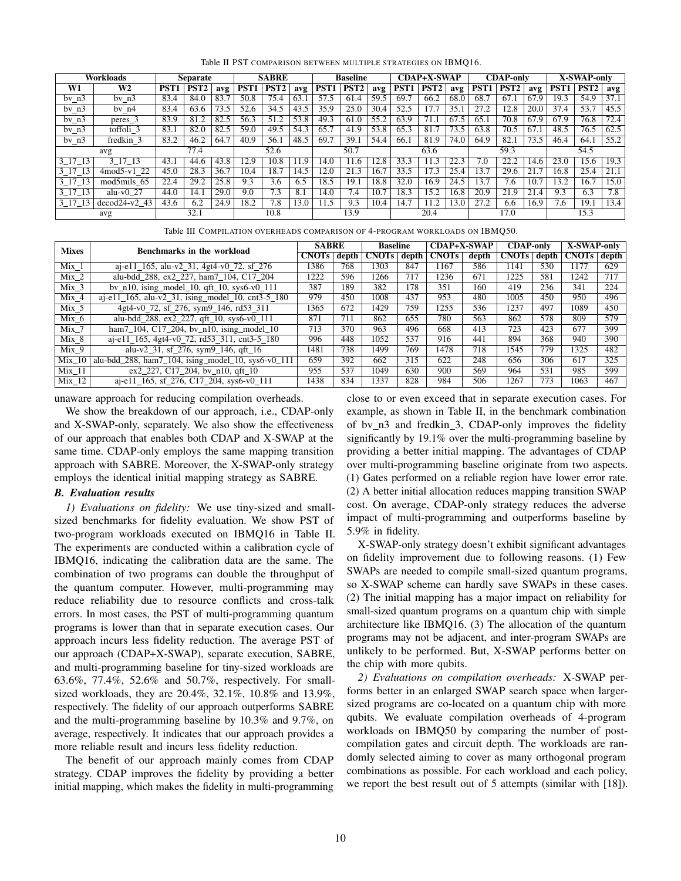| Workloads |                                     | <b>Separate</b> |                  | <b>SABRE</b> |      | <b>Baseline</b>  |      | <b>CDAP+X-SWAP</b> |      |      | <b>CDAP-only</b> |                  |                   | <b>X-SWAP-only</b> |                  |      |                  |                          |      |
|-----------|-------------------------------------|-----------------|------------------|--------------|------|------------------|------|--------------------|------|------|------------------|------------------|-------------------|--------------------|------------------|------|------------------|--------------------------|------|
| W1        | W2                                  | PST             | PST <sub>2</sub> | avg          | PST  | PST <sub>2</sub> | avg  | PST <sub>1</sub>   | PST2 | avg  | PST <sub>1</sub> | PST <sub>2</sub> | avg               | PST <sub>1</sub>   | PST <sub>2</sub> | avg  | PST <sub>1</sub> | $\overline{\text{PST2}}$ | avg  |
| $bv_n3$   | by $n3$                             | 83.4            | 84.0             | 83.7         | 50.8 | 75.4             | 63.1 | 57.5               | 61.4 | 59.5 | 69.7             | 66.2             | 68.0              | 68.7               | 67.1             | 67.9 | 19.3             | 54.9                     | 37.1 |
| $bv_n3$   | $bv$ n4                             | 83.4            | 63.6             | 73.5         | 52.6 | 34.5             | 43.5 | 35.9               | 25.0 | 30.4 | 52.5             |                  | 35.1              | 27.2               | 12.8             | 20.0 | 37.4             | 53.7                     | 45.5 |
| $bv_n3$   | peres 3                             | 83.9            | 81.2             | 82.5         | 56.3 | 51.2             | 53.8 | 49.3               | 61.0 | 55.2 | 63.9             | 71.              | $\overline{67.5}$ | 65.i               | 70.8             | 67.9 | 67.9             | 76.8                     | 72.4 |
| $bv_n3$   | toffoli 3                           | 83.1            | 82.0             | 82.5         | 59.0 | 49.5             | 54.3 | 65.7               | 41.9 | 53.8 | 65.3             | 81.7             | 73.5              | 63.8               | 70.5             | 67.1 | 48.5             | 76.5                     | 62.5 |
| by $n3$   | fredkin 3                           | 83.2            | 46.2             | 64.7         | 40.9 | 56.1             | 48.5 | 69.7               | 39.1 | 54.4 | 66.1             | 81.9             | 74.0              | 64.9               | 82.1             | 73.5 | 46.4             | 64.1                     | 55.2 |
| avg       |                                     | 77.4            |                  |              | 52.6 |                  | 50.7 |                    | 63.6 |      | 59.3             |                  | 54.5              |                    |                  |      |                  |                          |      |
| 3 17 13   | 3 17 13                             | 43.1            | 44.6             | 43.8         | 12.9 | 10.8             | 11.9 | 14.0               | 11.6 | 12.8 | 33.3             |                  | 22.3              | 7.0                | 22.2             | 14.6 | 23.0             | 15.6                     | 19.3 |
| 3 17 13   | $4 \text{mod} 5$ -v $1 \text{ } 22$ | 45.0            | 28.3             | 36.7         | 0.4  | 18.7             | 14.5 | 12.0               | 21.3 | 16.7 | 33.5             | 17.3             | 25.4              | 13.7               | 29.6             | 21.  | 16.8             | 25.4                     | 21.1 |
| 3 17 13   | $mod5$ mils 65                      | 22.4            | 29.2             | 25.8         | 9.3  | 3.6              | 6.5  | 18.5               | 19.1 | 18.8 | 32.0             | 16.9             | 24.5              | 13.7               | $7\overline{.}6$ | 10.  | 13.2             | 16.7                     | 15.0 |
| 3 17 13   | alu-v $0.27$                        | 44.0            | 14.1             | 29.0         | 9.0  | 7.3              | 8.1  | 14.0               | 4.   | 10.7 | 18.3             | 5.2              | 16.8              | 20.9               | 21.9             | 21.4 | 9.3              | 6.3                      | 7.8  |
| 3 17 13   | $decod24-v2$ 43                     | 43.6            | 6.2              | 24.9         | 18.2 | 7.8              | 13.0 | 11.5               | 9.3  | 10.4 | 14.7             | 1.2              | 13.0              | 27.2               | 6.6              | 16.9 | $7.\overline{6}$ | 19.1                     | 13.4 |
| avg       |                                     |                 | 32.1             |              |      | 10.8             |      |                    | 13.9 |      |                  | 20.4             |                   |                    | 17.0             |      |                  | 15.3                     |      |

<span id="page-9-0"></span>Table II PST COMPARISON BETWEEN MULTIPLE STRATEGIES ON IBMQ16.

<span id="page-9-1"></span>

|  | Table III COMPILATION OVERHEADS COMPARISON OF 4-PROGRAM WORKLOADS ON IBMO50. |  |  |  |  |  |
|--|------------------------------------------------------------------------------|--|--|--|--|--|
|--|------------------------------------------------------------------------------|--|--|--|--|--|

| <b>Mixes</b>      | Benchmarks in the workload                                                            |              | <b>SABRE</b> |              | <b>Baseline</b> |              | <b>CDAP+X-SWAP</b> |              | <b>CDAP-only</b> |              | X-SWAP-only |  |
|-------------------|---------------------------------------------------------------------------------------|--------------|--------------|--------------|-----------------|--------------|--------------------|--------------|------------------|--------------|-------------|--|
|                   |                                                                                       | <b>CNOTs</b> | depth        | <b>CNOTs</b> | depth           | <b>CNOTs</b> | depth              | <b>CNOTs</b> | depth            | <b>CNOTs</b> | depth       |  |
| Mix 1             | aj-e $11\_165$ , alu-v $2\_31$ , 4gt $4$ -v $0\_72$ , sf $276$                        | 1386         | 768          | 1303         | 847             | 1167         | 586                | 1141         | 530              | 1177         | 629         |  |
| $Mix_2$           | alu-bdd 288, ex2 227, ham7 104, C17 204                                               | 1222         | 596          | 1266         | 717             | 1236         | 671                | 1225         | 581              | 1242         | 717         |  |
| Mix <sub>3</sub>  | bv_n10, ising_model_10, qft_10, sys6-v0_111                                           | 387          | 189          | 382          | 178             | 351          | 160                | 419          | 236              | 341          | 224         |  |
| Mix <sub>4</sub>  | $a$ j-e $11_165$ , alu-v2_31, ising_model_10, cnt3-5_180                              | 979          | 450          | 1008         | 437             | 953          | 480                | 1005         | 450              | 950          | 496         |  |
| $Mix_5$           | 4gt4-v0_72, sf_276, sym9_146, rd53_311                                                | 1365         | 672          | 1429         | 759             | 1255         | 536                | 1237         | 497              | 1089         | 450         |  |
| Mix 6             | alu-bdd_288, ex2_227, qft_10, sys6-v0_111                                             | 871          | 711          | 862          | 655             | 780          | 563                | 862          | 578              | 809          | 579         |  |
| Mix 7             | ham $7_{104}$ , C17 <sub>-204</sub> , bv <sub>-n10</sub> , ising-model <sub>-10</sub> | 713          | 370          | 963          | 496             | 668          | 413                | 723          | 423              | 677          | 399         |  |
| Mix 8             | $ai$ -e11_165, 4gt4-v0_72, rd53_311, cnt3-5_180                                       | 996          | 448          | 1052         | 537             | 916          | 441                | 894          | 368              | 940          | 390         |  |
| Mix 9             | alu-v2_31, sf_276, sym9_146, qft_16                                                   | 1481         | 738          | 1499         | 769             | 1478         | 718                | 1545         | 779              | 1325         | 482         |  |
| $Mix$ 10          | alu-bdd_288, ham7_104, ising_model_10, sys6-v0_111                                    | 659          | 392          | 662          | 315             | 622          | 248                | 656          | 306              | 617          | 325         |  |
| Mix <sub>11</sub> | ex2 227, C17 204, by n10, qft 10                                                      | 955          | 537          | 1049         | 630             | 900          | 569                | 964          | 531              | 985          | 599         |  |
| Mix <sub>12</sub> | aj-e11 165, sf 276, C17 204, sys6-v0 111                                              | 1438         | 834          | 1337         | 828             | 984          | 506                | 1267         | 773              | 1063         | 467         |  |

unaware approach for reducing compilation overheads.

We show the breakdown of our approach, i.e., CDAP-only and X-SWAP-only, separately. We also show the effectiveness of our approach that enables both CDAP and X-SWAP at the same time. CDAP-only employs the same mapping transition approach with SABRE. Moreover, the X-SWAP-only strategy employs the identical initial mapping strategy as SABRE.

#### *B. Evaluation results*

*1) Evaluations on fidelity:* We use tiny-sized and smallsized benchmarks for fidelity evaluation. We show PST of two-program workloads executed on IBMQ16 in Table [II.](#page-9-0) The experiments are conducted within a calibration cycle of IBMQ16, indicating the calibration data are the same. The combination of two programs can double the throughput of the quantum computer. However, multi-programming may reduce reliability due to resource conflicts and cross-talk errors. In most cases, the PST of multi-programming quantum programs is lower than that in separate execution cases. Our approach incurs less fidelity reduction. The average PST of our approach (CDAP+X-SWAP), separate execution, SABRE, and multi-programming baseline for tiny-sized workloads are 63.6%, 77.4%, 52.6% and 50.7%, respectively. For smallsized workloads, they are 20.4%, 32.1%, 10.8% and 13.9%, respectively. The fidelity of our approach outperforms SABRE and the multi-programming baseline by 10.3% and 9.7%, on average, respectively. It indicates that our approach provides a more reliable result and incurs less fidelity reduction.

The benefit of our approach mainly comes from CDAP strategy. CDAP improves the fidelity by providing a better initial mapping, which makes the fidelity in multi-programming close to or even exceed that in separate execution cases. For example, as shown in Table [II,](#page-9-0) in the benchmark combination of bv n3 and fredkin 3, CDAP-only improves the fidelity significantly by 19.1% over the multi-programming baseline by providing a better initial mapping. The advantages of CDAP over multi-programming baseline originate from two aspects. (1) Gates performed on a reliable region have lower error rate. (2) A better initial allocation reduces mapping transition SWAP cost. On average, CDAP-only strategy reduces the adverse impact of multi-programming and outperforms baseline by 5.9% in fidelity.

X-SWAP-only strategy doesn't exhibit significant advantages on fidelity improvement due to following reasons. (1) Few SWAPs are needed to compile small-sized quantum programs, so X-SWAP scheme can hardly save SWAPs in these cases. (2) The initial mapping has a major impact on reliability for small-sized quantum programs on a quantum chip with simple architecture like IBMQ16. (3) The allocation of the quantum programs may not be adjacent, and inter-program SWAPs are unlikely to be performed. But, X-SWAP performs better on the chip with more qubits.

*2) Evaluations on compilation overheads:* X-SWAP performs better in an enlarged SWAP search space when largersized programs are co-located on a quantum chip with more qubits. We evaluate compilation overheads of 4-program workloads on IBMQ50 by comparing the number of postcompilation gates and circuit depth. The workloads are randomly selected aiming to cover as many orthogonal program combinations as possible. For each workload and each policy, we report the best result out of 5 attempts (similar with [\[18\]](#page-11-19)).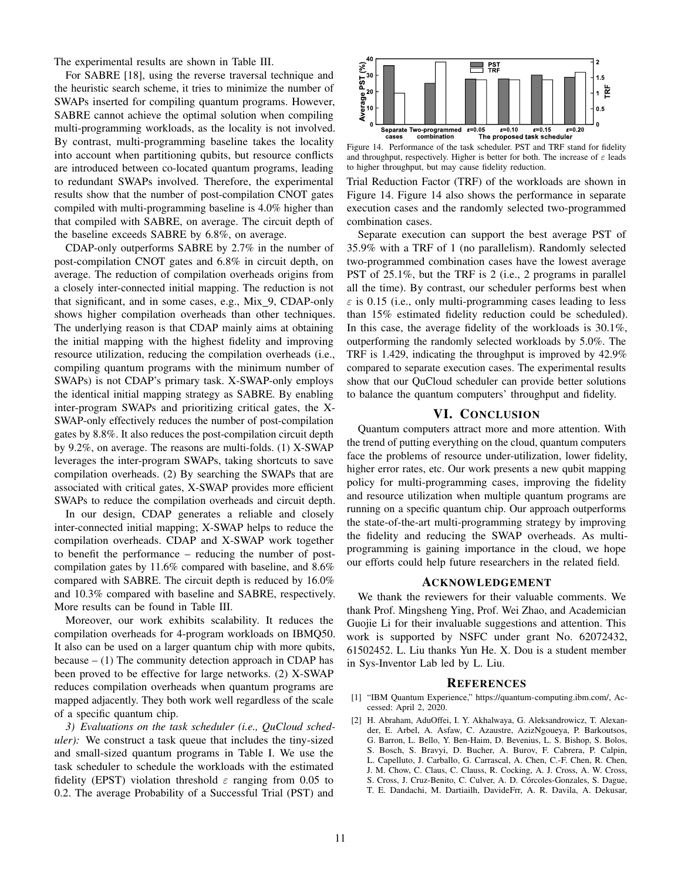The experimental results are shown in Table [III.](#page-9-1)

For SABRE [\[18\]](#page-11-19), using the reverse traversal technique and the heuristic search scheme, it tries to minimize the number of SWAPs inserted for compiling quantum programs. However, SABRE cannot achieve the optimal solution when compiling multi-programming workloads, as the locality is not involved. By contrast, multi-programming baseline takes the locality into account when partitioning qubits, but resource conflicts are introduced between co-located quantum programs, leading to redundant SWAPs involved. Therefore, the experimental results show that the number of post-compilation CNOT gates compiled with multi-programming baseline is 4.0% higher than that compiled with SABRE, on average. The circuit depth of the baseline exceeds SABRE by 6.8%, on average.

CDAP-only outperforms SABRE by 2.7% in the number of post-compilation CNOT gates and 6.8% in circuit depth, on average. The reduction of compilation overheads origins from a closely inter-connected initial mapping. The reduction is not that significant, and in some cases, e.g., Mix<sub>1</sub>9, CDAP-only shows higher compilation overheads than other techniques. The underlying reason is that CDAP mainly aims at obtaining the initial mapping with the highest fidelity and improving resource utilization, reducing the compilation overheads (i.e., compiling quantum programs with the minimum number of SWAPs) is not CDAP's primary task. X-SWAP-only employs the identical initial mapping strategy as SABRE. By enabling inter-program SWAPs and prioritizing critical gates, the X-SWAP-only effectively reduces the number of post-compilation gates by 8.8%. It also reduces the post-compilation circuit depth by 9.2%, on average. The reasons are multi-folds. (1) X-SWAP leverages the inter-program SWAPs, taking shortcuts to save compilation overheads. (2) By searching the SWAPs that are associated with critical gates, X-SWAP provides more efficient SWAPs to reduce the compilation overheads and circuit depth.

In our design, CDAP generates a reliable and closely inter-connected initial mapping; X-SWAP helps to reduce the compilation overheads. CDAP and X-SWAP work together to benefit the performance – reducing the number of postcompilation gates by 11.6% compared with baseline, and 8.6% compared with SABRE. The circuit depth is reduced by 16.0% and 10.3% compared with baseline and SABRE, respectively. More results can be found in Table III.

Moreover, our work exhibits scalability. It reduces the compilation overheads for 4-program workloads on IBMQ50. It also can be used on a larger quantum chip with more qubits, because  $- (1)$  The community detection approach in CDAP has been proved to be effective for large networks. (2) X-SWAP reduces compilation overheads when quantum programs are mapped adjacently. They both work well regardless of the scale of a specific quantum chip.

*3) Evaluations on the task scheduler (i.e., QuCloud scheduler):* We construct a task queue that includes the tiny-sized and small-sized quantum programs in Table [I.](#page-8-1) We use the task scheduler to schedule the workloads with the estimated fidelity (EPST) violation threshold  $\varepsilon$  ranging from 0.05 to 0.2. The average Probability of a Successful Trial (PST) and



<span id="page-10-2"></span>Figure 14. Performance of the task scheduler. PST and TRF stand for fidelity and throughput, respectively. Higher is better for both. The increase of  $\varepsilon$  leads to higher throughput, but may cause fidelity reduction.

Trial Reduction Factor (TRF) of the workloads are shown in Figure [14.](#page-10-2) Figure [14](#page-10-2) also shows the performance in separate execution cases and the randomly selected two-programmed combination cases.

Separate execution can support the best average PST of 35.9% with a TRF of 1 (no parallelism). Randomly selected two-programmed combination cases have the lowest average PST of 25.1%, but the TRF is 2 (i.e., 2 programs in parallel all the time). By contrast, our scheduler performs best when  $\epsilon$  is 0.15 (i.e., only multi-programming cases leading to less than 15% estimated fidelity reduction could be scheduled). In this case, the average fidelity of the workloads is 30.1%, outperforming the randomly selected workloads by 5.0%. The TRF is 1.429, indicating the throughput is improved by 42.9% compared to separate execution cases. The experimental results show that our QuCloud scheduler can provide better solutions to balance the quantum computers' throughput and fidelity.

## VI. CONCLUSION

Quantum computers attract more and more attention. With the trend of putting everything on the cloud, quantum computers face the problems of resource under-utilization, lower fidelity, higher error rates, etc. Our work presents a new qubit mapping policy for multi-programming cases, improving the fidelity and resource utilization when multiple quantum programs are running on a specific quantum chip. Our approach outperforms the state-of-the-art multi-programming strategy by improving the fidelity and reducing the SWAP overheads. As multiprogramming is gaining importance in the cloud, we hope our efforts could help future researchers in the related field.

## ACKNOWLEDGEMENT

We thank the reviewers for their valuable comments. We thank Prof. Mingsheng Ying, Prof. Wei Zhao, and Academician Guojie Li for their invaluable suggestions and attention. This work is supported by NSFC under grant No. 62072432, 61502452. L. Liu thanks Yun He. X. Dou is a student member in Sys-Inventor Lab led by L. Liu.

#### **REFERENCES**

- <span id="page-10-0"></span>[1] "IBM Quantum Experience," [https://quantum-computing.ibm.com/,](https://quantum-computing.ibm.com/) Accessed: April 2, 2020.
- <span id="page-10-1"></span>[2] H. Abraham, AduOffei, I. Y. Akhalwaya, G. Aleksandrowicz, T. Alexander, E. Arbel, A. Asfaw, C. Azaustre, AzizNgoueya, P. Barkoutsos, G. Barron, L. Bello, Y. Ben-Haim, D. Bevenius, L. S. Bishop, S. Bolos, S. Bosch, S. Bravyi, D. Bucher, A. Burov, F. Cabrera, P. Calpin, L. Capelluto, J. Carballo, G. Carrascal, A. Chen, C.-F. Chen, R. Chen, J. M. Chow, C. Claus, C. Clauss, R. Cocking, A. J. Cross, A. W. Cross, S. Cross, J. Cruz-Benito, C. Culver, A. D. Córcoles-Gonzales, S. Dague, T. E. Dandachi, M. Dartiailh, DavideFrr, A. R. Davila, A. Dekusar,